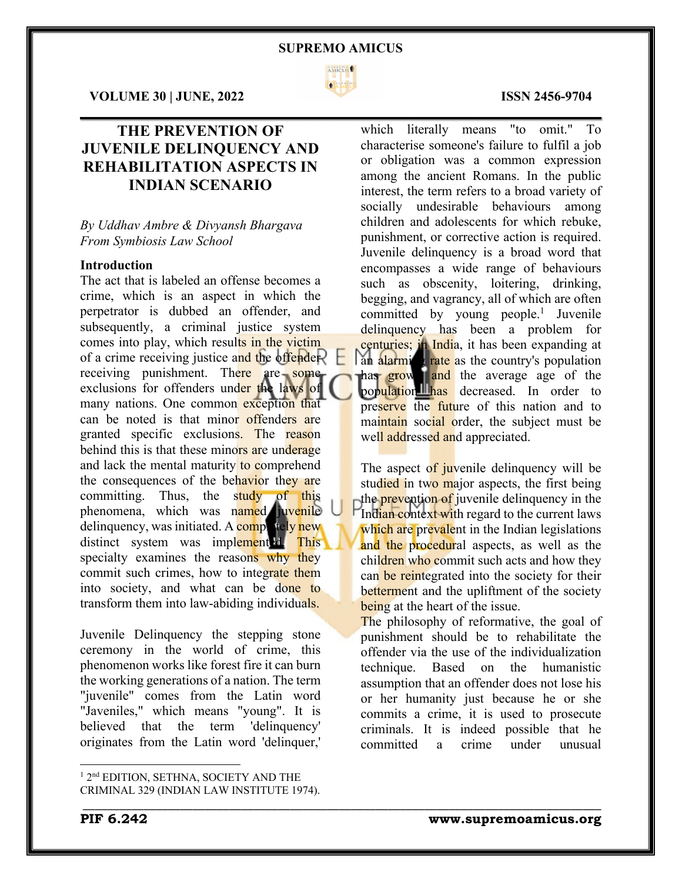

 $\mathcal{L}_\mathcal{L} = \mathcal{L}_\mathcal{L} = \mathcal{L}_\mathcal{L} = \mathcal{L}_\mathcal{L} = \mathcal{L}_\mathcal{L} = \mathcal{L}_\mathcal{L} = \mathcal{L}_\mathcal{L} = \mathcal{L}_\mathcal{L} = \mathcal{L}_\mathcal{L} = \mathcal{L}_\mathcal{L} = \mathcal{L}_\mathcal{L} = \mathcal{L}_\mathcal{L} = \mathcal{L}_\mathcal{L} = \mathcal{L}_\mathcal{L} = \mathcal{L}_\mathcal{L} = \mathcal{L}_\mathcal{L} = \mathcal{L}_\mathcal{L}$ 

\_\_\_\_\_\_\_\_\_\_\_\_\_\_\_\_\_\_\_\_\_\_\_\_\_\_\_\_\_\_\_\_\_\_\_\_\_\_\_\_\_\_\_\_\_\_\_\_\_\_\_\_\_\_\_\_\_\_\_\_\_\_\_\_\_\_\_\_\_\_\_\_\_\_\_\_\_\_\_\_\_\_\_\_\_

**VOLUME 30 | JUNE, 2022 ISSN 2456-9704**

# **THE PREVENTION OF JUVENILE DELINQUENCY AND REHABILITATION ASPECTS IN INDIAN SCENARIO**

## *By Uddhav Ambre & Divyansh Bhargava From Symbiosis Law School*

# **Introduction**

The act that is labeled an offense becomes a crime, which is an aspect in which the perpetrator is dubbed an offender, and subsequently, a criminal justice system comes into play, which results in the victim of a crime receiving justice and the offender? receiving punishment. There are some exclusions for offenders under the laws of many nations. One common exception that can be noted is that minor offenders are granted specific exclusions. The reason behind this is that these minors are underage and lack the mental maturity to comprehend the consequences of the behavior they are committing. Thus, the study of this phenomena, which was named juvenile delinquency, was initiated. A completely new distinct system was implemented. This specialty examines the reasons why they commit such crimes, how to integrate them into society, and what can be done to transform them into law-abiding individuals.

Juvenile Delinquency the stepping stone ceremony in the world of crime, this phenomenon works like forest fire it can burn the working generations of a nation. The term "juvenile" comes from the Latin word "Javeniles," which means "young". It is believed that the term 'delinquency' originates from the Latin word 'delinquer,'

which literally means "to omit." To characterise someone's failure to fulfil a job or obligation was a common expression among the ancient Romans. In the public interest, the term refers to a broad variety of socially undesirable behaviours among children and adolescents for which rebuke, punishment, or corrective action is required. Juvenile delinquency is a broad word that encompasses a wide range of behaviours such as obscenity, loitering, drinking, begging, and vagrancy, all of which are often committed by young people. <sup>1</sup> Juvenile delinquency has been a problem for centuries; in India, it has been expanding at an alarming rate as the country's population has grown and the average age of the population has decreased. In order to preserve the future of this nation and to maintain social order, the subject must be well addressed and appreciated.

The aspect of juvenile delinquency will be studied in two major aspects, the first being the **prevention of** juvenile delinquency in the Indian context with regard to the current laws which are prevalent in the Indian legislations and the procedural aspects, as well as the children who commit such acts and how they can be reintegrated into the society for their betterment and the upliftment of the society being at the heart of the issue.

The philosophy of reformative, the goal of punishment should be to rehabilitate the offender via the use of the individualization technique. Based on the humanistic assumption that an offender does not lose his or her humanity just because he or she commits a crime, it is used to prosecute criminals. It is indeed possible that he committed a crime under unusual

<sup>&</sup>lt;sup>1</sup> 2<sup>nd</sup> EDITION, SETHNA, SOCIETY AND THE CRIMINAL 329 (INDIAN LAW INSTITUTE 1974).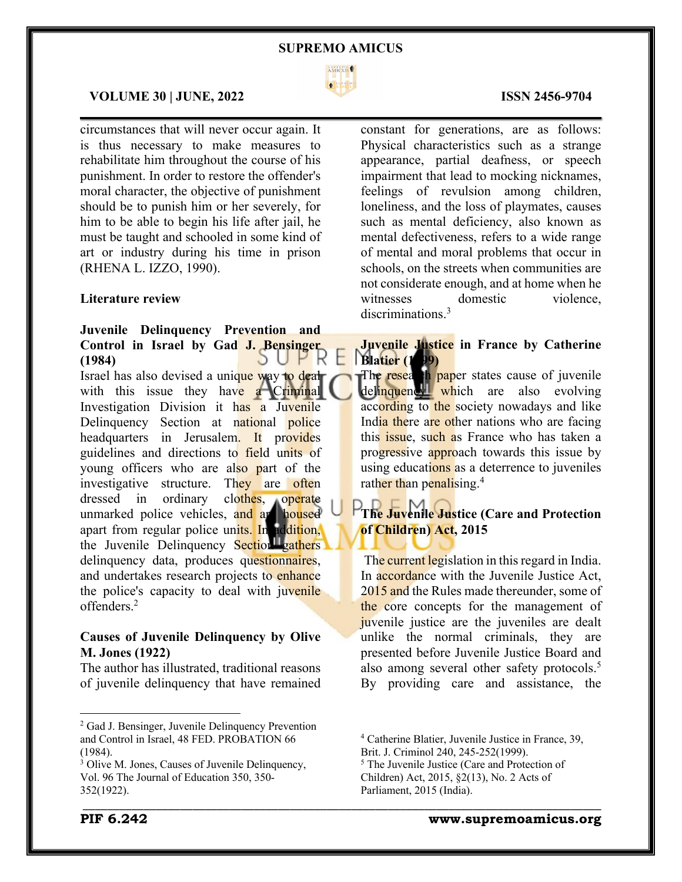

 $\mathcal{L}_\mathcal{L} = \mathcal{L}_\mathcal{L} = \mathcal{L}_\mathcal{L} = \mathcal{L}_\mathcal{L} = \mathcal{L}_\mathcal{L} = \mathcal{L}_\mathcal{L} = \mathcal{L}_\mathcal{L} = \mathcal{L}_\mathcal{L} = \mathcal{L}_\mathcal{L} = \mathcal{L}_\mathcal{L} = \mathcal{L}_\mathcal{L} = \mathcal{L}_\mathcal{L} = \mathcal{L}_\mathcal{L} = \mathcal{L}_\mathcal{L} = \mathcal{L}_\mathcal{L} = \mathcal{L}_\mathcal{L} = \mathcal{L}_\mathcal{L}$ 

Н

#### **VOLUME 30 | JUNE, 2022 ISSN 2456-9704**

circumstances that will never occur again. It is thus necessary to make measures to rehabilitate him throughout the course of his punishment. In order to restore the offender's moral character, the objective of punishment should be to punish him or her severely, for him to be able to begin his life after jail, he must be taught and schooled in some kind of art or industry during his time in prison (RHENA L. IZZO, 1990).

### **Literature review**

#### **Juvenile Delinquency Prevention and Control in Israel by Gad J. Bensinger**  SUPR **(1984)**

Israel has also devised a unique way to deal with this issue they have a Criminal Investigation Division it has a Juvenile Delinquency Section at national police headquarters in Jerusalem. It provides guidelines and directions to field units of young officers who are also part of the investigative structure. They are often dressed in ordinary clothes, operate unmarked police vehicles, and are housed apart from regular police units. In addition, the Juvenile Delinquency Section gathers delinquency data, produces questionnaires, and undertakes research projects to enhance the police's capacity to deal with juvenile offenders.2

# **Causes of Juvenile Delinquency by Olive M. Jones (1922)**

The author has illustrated, traditional reasons of juvenile delinquency that have remained

# constant for generations, are as follows: Physical characteristics such as a strange appearance, partial deafness, or speech impairment that lead to mocking nicknames, feelings of revulsion among children, loneliness, and the loss of playmates, causes such as mental deficiency, also known as mental defectiveness, refers to a wide range of mental and moral problems that occur in schools, on the streets when communities are not considerate enough, and at home when he witnesses domestic violence, discriminations.<sup>3</sup>

# **Juvenile Justice in France by Catherine Blatier (1999)**

The research paper states cause of juvenile delinquency which are also evolving according to the society nowadays and like India there are other nations who are facing this *issue*, such as France who has taken a progressive approach towards this issue by using educations as a deterrence to juveniles rather than penalising.<sup>4</sup>

# **The Juvenile Justice (Care and Protection of Children) Act, 2015**

The current legislation in this regard in India. In accordance with the Juvenile Justice Act, 2015 and the Rules made thereunder, some of the core concepts for the management of juvenile justice are the juveniles are dealt unlike the normal criminals, they are presented before Juvenile Justice Board and also among several other safety protocols.<sup>5</sup> By providing care and assistance, the

\_\_\_\_\_\_\_\_\_\_\_\_\_\_\_\_\_\_\_\_\_\_\_\_\_\_\_\_\_\_\_\_\_\_\_\_\_\_\_\_\_\_\_\_\_\_\_\_\_\_\_\_\_\_\_\_\_\_\_\_\_\_\_\_\_\_\_\_\_\_\_\_\_\_\_\_\_\_\_\_\_\_\_\_\_

**PIF 6.242 www.supremoamicus.org**

<sup>2</sup> Gad J. Bensinger, Juvenile Delinquency Prevention and Control in Israel, 48 FED. PROBATION 66 (1984).

<sup>&</sup>lt;sup>3</sup> Olive M. Jones, Causes of Juvenile Delinquency, Vol. 96 The Journal of Education 350, 350- 352(1922).

<sup>4</sup> Catherine Blatier, Juvenile Justice in France, 39, Brit. J. Criminol 240, 245-252(1999).

<sup>5</sup> The Juvenile Justice (Care and Protection of Children) Act, 2015, §2(13), No. 2 Acts of Parliament, 2015 (India).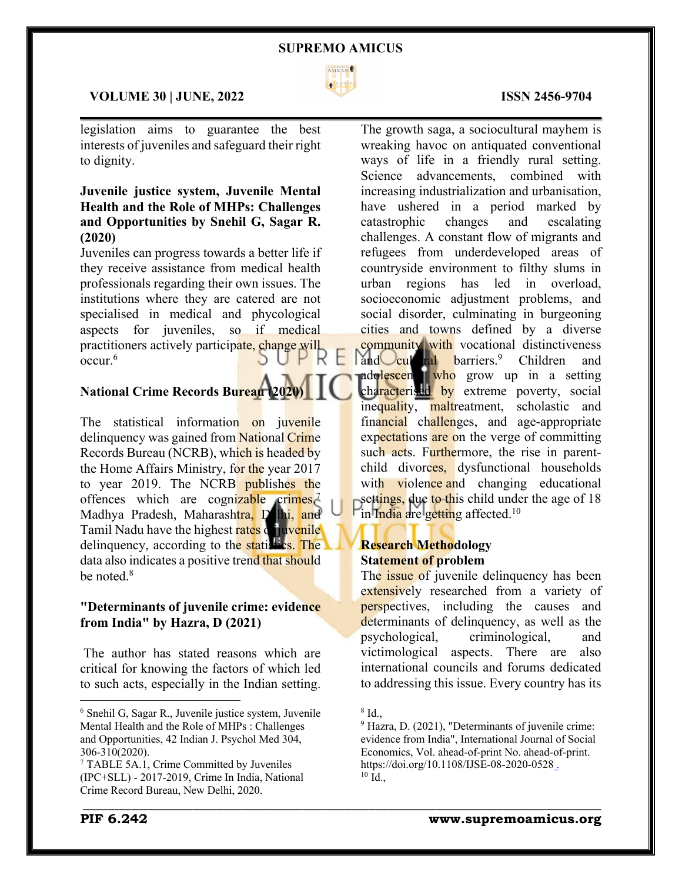

 $\mathcal{L}_\mathcal{L} = \mathcal{L}_\mathcal{L} = \mathcal{L}_\mathcal{L} = \mathcal{L}_\mathcal{L} = \mathcal{L}_\mathcal{L} = \mathcal{L}_\mathcal{L} = \mathcal{L}_\mathcal{L} = \mathcal{L}_\mathcal{L} = \mathcal{L}_\mathcal{L} = \mathcal{L}_\mathcal{L} = \mathcal{L}_\mathcal{L} = \mathcal{L}_\mathcal{L} = \mathcal{L}_\mathcal{L} = \mathcal{L}_\mathcal{L} = \mathcal{L}_\mathcal{L} = \mathcal{L}_\mathcal{L} = \mathcal{L}_\mathcal{L}$ 

# **VOLUME 30 | JUNE, 2022 ISSN 2456-9704**

legislation aims to guarantee the best interests of juveniles and safeguard their right to dignity.

# **Juvenile justice system, Juvenile Mental Health and the Role of MHPs: Challenges and Opportunities by Snehil G, Sagar R. (2020)**

Juveniles can progress towards a better life if they receive assistance from medical health professionals regarding their own issues. The institutions where they are catered are not specialised in medical and phycological aspects for juveniles, so if medical practitioners actively participate, change will occur.6

# **National Crime Records Bureau (202**

The statistical information on juvenile delinquency was gained from National Crime Records Bureau (NCRB), which is headed by the Home Affairs Ministry, for the year 2017 to year 2019. The NCRB publishes the offences which are cognizable  $\text{crimes}^7$ . Madhya Pradesh, Maharashtra, Delhi, and Tamil Nadu have the highest rates of juvenile delinquency, according to the statistics. The data also indicates a positive trend that should be noted.<sup>8</sup>

# **"Determinants of juvenile crime: evidence from India" by Hazra, D (2021)**

The author has stated reasons which are critical for knowing the factors of which led to such acts, especially in the Indian setting.

The growth saga, a sociocultural mayhem is wreaking havoc on antiquated conventional ways of life in a friendly rural setting. Science advancements, combined with increasing industrialization and urbanisation, have ushered in a period marked by catastrophic changes and escalating challenges. A constant flow of migrants and refugees from underdeveloped areas of countryside environment to filthy slums in urban regions has led in overload, socioeconomic adjustment problems, and social disorder, culminating in burgeoning cities and towns defined by a diverse **community** with vocational distinctiveness

and cultural barriers.<sup>9</sup> Children and adolescent who grow up in a setting characterised by extreme poverty, social inequality, maltreatment, scholastic and financial challenges, and age-appropriate expectations are on the verge of committing such acts. Furthermore, the rise in parentchild divorces, dysfunctional households with violence and changing educational settings, due to this child under the age of 18 in India are getting affected.<sup>10</sup>

# **Research Methodology Statement of problem**

The *issue* of juvenile delinquency has been extensively researched from a variety of perspectives, including the causes and determinants of delinquency, as well as the psychological, criminological, and victimological aspects. There are also international councils and forums dedicated to addressing this issue. Every country has its

<sup>6</sup> Snehil G, Sagar R., Juvenile justice system, Juvenile Mental Health and the Role of MHPs : Challenges and Opportunities, 42 Indian J. Psychol Med 304, 306-310(2020).

<sup>7</sup> TABLE 5A.1, Crime Committed by Juveniles (IPC+SLL) - 2017-2019, Crime In India, National Crime Record Bureau, New Delhi, 2020.

<sup>8</sup> Id.,

<sup>&</sup>lt;sup>9</sup> Hazra, D. (2021), "Determinants of juvenile crime: evidence from India", International Journal of Social Economics, Vol. ahead-of-print No. ahead-of-print. https://doi.org/10.1108/IJSE-08-2020-0528 .  $10$  Id.,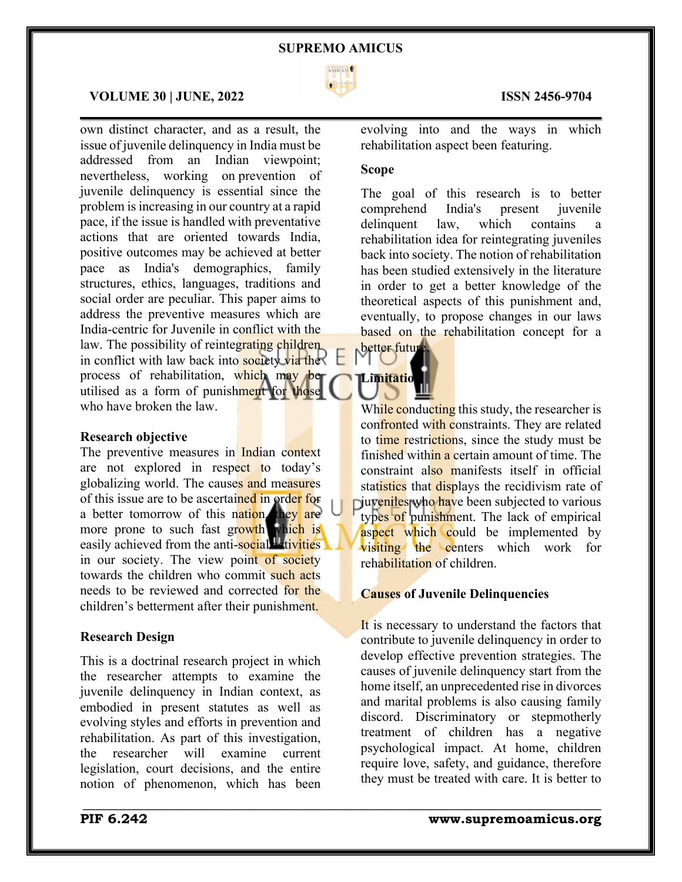

 $\mathcal{L}_\mathcal{L} = \mathcal{L}_\mathcal{L} = \mathcal{L}_\mathcal{L} = \mathcal{L}_\mathcal{L} = \mathcal{L}_\mathcal{L} = \mathcal{L}_\mathcal{L} = \mathcal{L}_\mathcal{L} = \mathcal{L}_\mathcal{L} = \mathcal{L}_\mathcal{L} = \mathcal{L}_\mathcal{L} = \mathcal{L}_\mathcal{L} = \mathcal{L}_\mathcal{L} = \mathcal{L}_\mathcal{L} = \mathcal{L}_\mathcal{L} = \mathcal{L}_\mathcal{L} = \mathcal{L}_\mathcal{L} = \mathcal{L}_\mathcal{L}$ 

\_\_\_\_\_\_\_\_\_\_\_\_\_\_\_\_\_\_\_\_\_\_\_\_\_\_\_\_\_\_\_\_\_\_\_\_\_\_\_\_\_\_\_\_\_\_\_\_\_\_\_\_\_\_\_\_\_\_\_\_\_\_\_\_\_\_\_\_\_\_\_\_\_\_\_\_\_\_\_\_\_\_\_\_\_

#### **VOLUME 30 | JUNE, 2022 ISSN 2456-9704**

own distinct character, and as a result, the issue of juvenile delinquency in India must be addressed from an Indian viewpoint; nevertheless, working on prevention of juvenile delinquency is essential since the problem is increasing in our country at a rapid pace, if the issue is handled with preventative actions that are oriented towards India, positive outcomes may be achieved at better pace as India's demographics, family structures, ethics, languages, traditions and social order are peculiar. This paper aims to address the preventive measures which are India-centric for Juvenile in conflict with the law. The possibility of reintegrating children in conflict with law back into society via the process of rehabilitation, which may be utilised as a form of punishment for those who have broken the law.

### **Research objective**

The preventive measures in Indian context are not explored in respect to today's globalizing world. The causes and measures of this issue are to be ascertained in order for a better tomorrow of this nation, they are more prone to such fast growth which is easily achieved from the anti-social detivities in our society. The view point of society towards the children who commit such acts needs to be reviewed and corrected for the children's betterment after their punishment.

#### **Research Design**

This is a doctrinal research project in which the researcher attempts to examine the juvenile delinquency in Indian context, as embodied in present statutes as well as evolving styles and efforts in prevention and rehabilitation. As part of this investigation, the researcher will examine current legislation, court decisions, and the entire notion of phenomenon, which has been

evolving into and the ways in which rehabilitation aspect been featuring.

#### **Scope**

**Limitatio** 

The goal of this research is to better comprehend India's present juvenile delinquent law, which contains a rehabilitation idea for reintegrating juveniles back into society. The notion of rehabilitation has been studied extensively in the literature in order to get a better knowledge of the theoretical aspects of this punishment and, eventually, to propose changes in our laws based on the rehabilitation concept for a better future.

While conducting this study, the researcher is confronted with constraints. They are related to time restrictions, since the study must be finished within a certain amount of time. The constraint also manifests itself in official statistics that displays the recidivism rate of **p**iuveniles who have been subjected to various types of punishment. The lack of empirical aspect which could be implemented by visiting the centers which work for rehabilitation of children.

### **Causes of Juvenile Delinquencies**

It is necessary to understand the factors that contribute to juvenile delinquency in order to develop effective prevention strategies. The causes of juvenile delinquency start from the home itself, an unprecedented rise in divorces and marital problems is also causing family discord. Discriminatory or stepmotherly treatment of children has a negative psychological impact. At home, children require love, safety, and guidance, therefore they must be treated with care. It is better to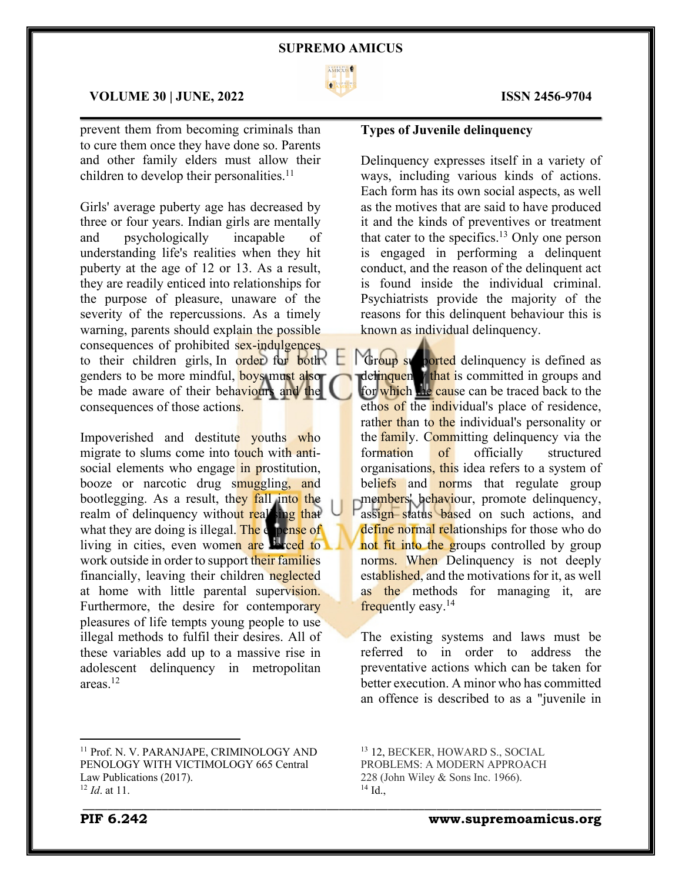

 $\mathcal{L}_\mathcal{L} = \mathcal{L}_\mathcal{L} = \mathcal{L}_\mathcal{L} = \mathcal{L}_\mathcal{L} = \mathcal{L}_\mathcal{L} = \mathcal{L}_\mathcal{L} = \mathcal{L}_\mathcal{L} = \mathcal{L}_\mathcal{L} = \mathcal{L}_\mathcal{L} = \mathcal{L}_\mathcal{L} = \mathcal{L}_\mathcal{L} = \mathcal{L}_\mathcal{L} = \mathcal{L}_\mathcal{L} = \mathcal{L}_\mathcal{L} = \mathcal{L}_\mathcal{L} = \mathcal{L}_\mathcal{L} = \mathcal{L}_\mathcal{L}$ 

#### **VOLUME 30 | JUNE, 2022 ISSN 2456-9704**

prevent them from becoming criminals than to cure them once they have done so. Parents and other family elders must allow their children to develop their personalities.<sup>11</sup>

Girls' average puberty age has decreased by three or four years. Indian girls are mentally and psychologically incapable of understanding life's realities when they hit puberty at the age of 12 or 13. As a result, they are readily enticed into relationships for the purpose of pleasure, unaware of the severity of the repercussions. As a timely warning, parents should explain the possible consequences of prohibited sex-indulgences to their children girls, In order for both genders to be more mindful, **boys** must also be made aware of their behaviours and the consequences of those actions.

Impoverished and destitute youths who migrate to slums come into touch with antisocial elements who engage in prostitution, booze or narcotic drug smuggling, and bootlegging. As a result, they fall into the realm of delinquency without real ing that what they are doing is illegal. The  $\epsilon$  pense of living in cities, even women are liveed to work outside in order to support their families financially, leaving their children neglected at home with little parental supervision. Furthermore, the desire for contemporary pleasures of life tempts young people to use illegal methods to fulfil their desires. All of these variables add up to a massive rise in adolescent delinquency in metropolitan areas.12

# **Types of Juvenile delinquency**

Delinquency expresses itself in a variety of ways, including various kinds of actions. Each form has its own social aspects, as well as the motives that are said to have produced it and the kinds of preventives or treatment that cater to the specifics. <sup>13</sup> Only one person is engaged in performing a delinquent conduct, and the reason of the delinquent act is found inside the individual criminal. Psychiatrists provide the majority of the reasons for this delinquent behaviour this is known as individual delinquency.

Group supported delinquency is defined as delinquency that is committed in groups and for which the cause can be traced back to the ethos of the individual's place of residence, rather than to the individual's personality or the family. Committing delinquency via the formation of officially structured organisations, this idea refers to a system of beliefs and norms that regulate group members' behaviour, promote delinquency, assign status based on such actions, and define normal relationships for those who do not fit into the groups controlled by group norms. When Delinquency is not deeply established, and the motivations for it, as well as the methods for managing it, are frequently easy.14

The existing systems and laws must be referred to in order to address the preventative actions which can be taken for better execution. A minor who has committed an offence is described to as a "juvenile in

<sup>13</sup> 12, BECKER, HOWARD S., SOCIAL PROBLEMS: A MODERN APPROACH 228 (John Wiley & Sons Inc. 1966). <sup>14</sup> Id.,

\_\_\_\_\_\_\_\_\_\_\_\_\_\_\_\_\_\_\_\_\_\_\_\_\_\_\_\_\_\_\_\_\_\_\_\_\_\_\_\_\_\_\_\_\_\_\_\_\_\_\_\_\_\_\_\_\_\_\_\_\_\_\_\_\_\_\_\_\_\_\_\_\_\_\_\_\_\_\_\_\_\_\_\_\_

**PIF 6.242 www.supremoamicus.org**

<sup>11</sup> Prof. N. V. PARANJAPE, CRIMINOLOGY AND PENOLOGY WITH VICTIMOLOGY 665 Central Law Publications (2017). <sup>12</sup> *Id*. at 11.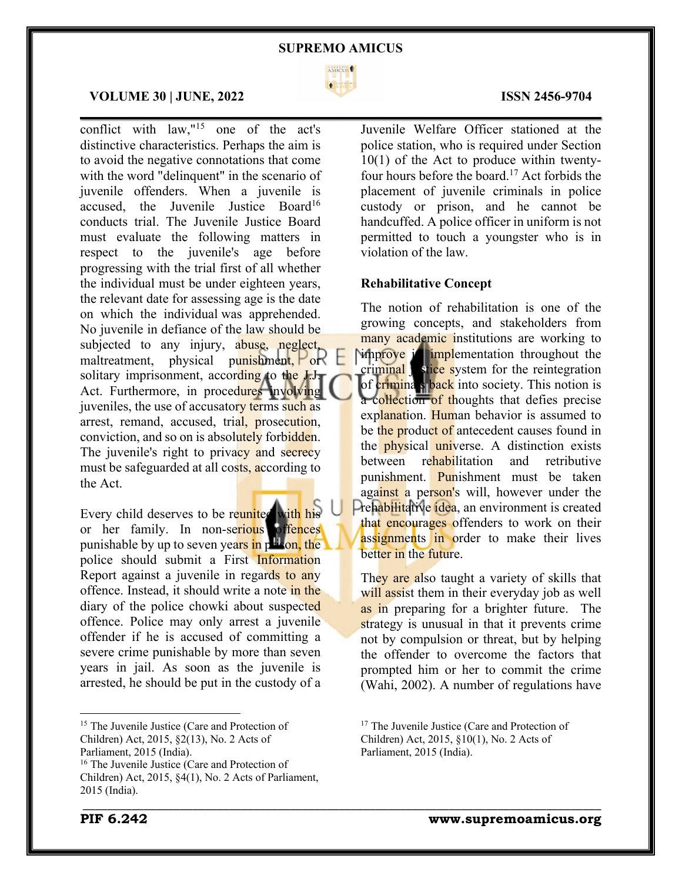

 $\mathcal{L}_\mathcal{L} = \mathcal{L}_\mathcal{L} = \mathcal{L}_\mathcal{L} = \mathcal{L}_\mathcal{L} = \mathcal{L}_\mathcal{L} = \mathcal{L}_\mathcal{L} = \mathcal{L}_\mathcal{L} = \mathcal{L}_\mathcal{L} = \mathcal{L}_\mathcal{L} = \mathcal{L}_\mathcal{L} = \mathcal{L}_\mathcal{L} = \mathcal{L}_\mathcal{L} = \mathcal{L}_\mathcal{L} = \mathcal{L}_\mathcal{L} = \mathcal{L}_\mathcal{L} = \mathcal{L}_\mathcal{L} = \mathcal{L}_\mathcal{L}$ 

#### **VOLUME 30 | JUNE, 2022 ISSN 2456-9704**

conflict with law,"15 one of the act's distinctive characteristics. Perhaps the aim is to avoid the negative connotations that come with the word "delinquent" in the scenario of juvenile offenders. When a juvenile is accused, the Juvenile Justice Board<sup>16</sup> conducts trial. The Juvenile Justice Board must evaluate the following matters in respect to the juvenile's age before progressing with the trial first of all whether the individual must be under eighteen years, the relevant date for assessing age is the date on which the individual was apprehended. No juvenile in defiance of the law should be subjected to any injury, abuse, neglect, maltreatment, physical punishment,  $\left| \right|$  or  $\left| \right|$ solitary imprisonment, according to the  $J_{\cdot}J_{\cdot}$ Act. Furthermore, in procedures involving juveniles, the use of accusatory terms such as arrest, remand, accused, trial, prosecution, conviction, and so on is absolutely forbidden. The juvenile's right to privacy and secrecy must be safeguarded at all costs, according to the Act.

Every child deserves to be reunited with his or her family. In non-serious offences punishable by up to seven years in prison, the police should submit a First Information Report against a juvenile in regards to any offence. Instead, it should write a note in the diary of the police chowki about suspected offence. Police may only arrest a juvenile offender if he is accused of committing a severe crime punishable by more than seven years in jail. As soon as the juvenile is arrested, he should be put in the custody of a

Juvenile Welfare Officer stationed at the police station, who is required under Section 10(1) of the Act to produce within twentyfour hours before the board. <sup>17</sup> Act forbids the placement of juvenile criminals in police custody or prison, and he cannot be handcuffed. A police officer in uniform is not permitted to touch a youngster who is in violation of the law.

#### **Rehabilitative Concept**

The notion of rehabilitation is one of the growing concepts, and stakeholders from many academic institutions are working to **Nimprove is implementation throughout the**  $\frac{1}{\text{trivial}}$  stice system for the reintegration of crimina s back into society. This notion is a collection of thoughts that defies precise explanation. Human behavior is assumed to be the product of antecedent causes found in the **physical universe**. A distinction exists between rehabilitation and retributive punishment. Punishment must be taken against a person's will, however under the Prehabilitative idea, an environment is created that encourages offenders to work on their assignments in order to make their lives better in the future.

They are also taught a variety of skills that will assist them in their everyday job as well as in preparing for a brighter future. The strategy is unusual in that it prevents crime not by compulsion or threat, but by helping the offender to overcome the factors that prompted him or her to commit the crime (Wahi, 2002). A number of regulations have

<sup>&</sup>lt;sup>15</sup> The Juvenile Justice (Care and Protection of Children) Act, 2015, §2(13), No. 2 Acts of Parliament, 2015 (India).

<sup>&</sup>lt;sup>16</sup> The Juvenile Justice (Care and Protection of Children) Act, 2015, §4(1), No. 2 Acts of Parliament, 2015 (India).

<sup>&</sup>lt;sup>17</sup> The Juvenile Justice (Care and Protection of Children) Act, 2015, §10(1), No. 2 Acts of Parliament, 2015 (India).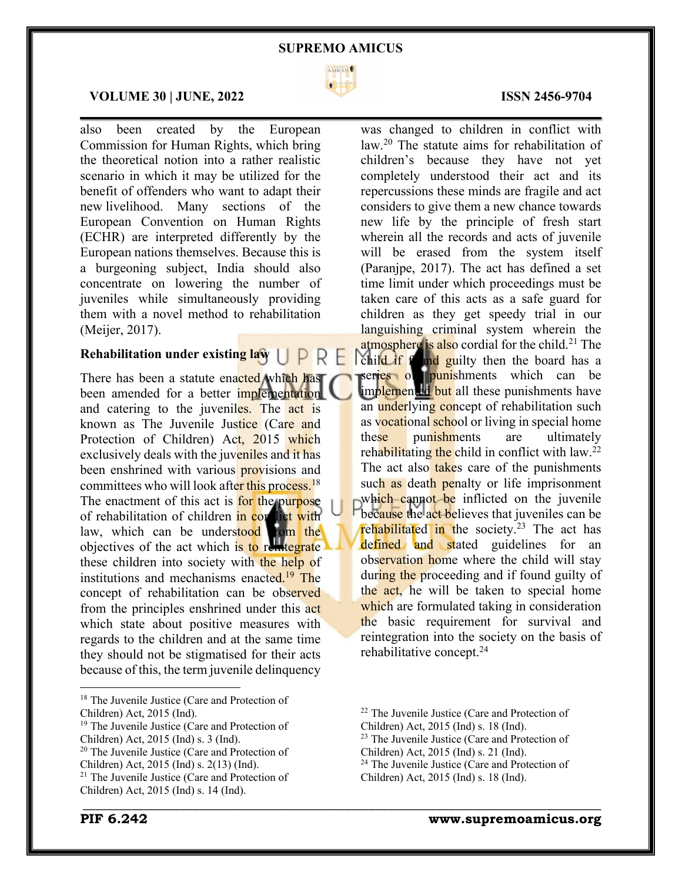

 $\mathcal{L}_\mathcal{L} = \mathcal{L}_\mathcal{L} = \mathcal{L}_\mathcal{L} = \mathcal{L}_\mathcal{L} = \mathcal{L}_\mathcal{L} = \mathcal{L}_\mathcal{L} = \mathcal{L}_\mathcal{L} = \mathcal{L}_\mathcal{L} = \mathcal{L}_\mathcal{L} = \mathcal{L}_\mathcal{L} = \mathcal{L}_\mathcal{L} = \mathcal{L}_\mathcal{L} = \mathcal{L}_\mathcal{L} = \mathcal{L}_\mathcal{L} = \mathcal{L}_\mathcal{L} = \mathcal{L}_\mathcal{L} = \mathcal{L}_\mathcal{L}$ 

#### **VOLUME 30 | JUNE, 2022 ISSN 2456-9704**

also been created by the European Commission for Human Rights, which bring the theoretical notion into a rather realistic scenario in which it may be utilized for the benefit of offenders who want to adapt their new livelihood. Many sections of the European Convention on Human Rights (ECHR) are interpreted differently by the European nations themselves. Because this is a burgeoning subject, India should also concentrate on lowering the number of juveniles while simultaneously providing them with a novel method to rehabilitation (Meijer, 2017).

# **Rehabilitation under existing law** | |

There has been a statute enacted which has been amended for a better *implementation* and catering to the juveniles. The act is known as The Juvenile Justice (Care and Protection of Children) Act, 2015 which exclusively deals with the juveniles and it has been enshrined with various **prov**isions and committees who will look after this process.<sup>18</sup> The enactment of this act is for the purpose of rehabilitation of children in conduct with law, which can be understood from the objectives of the act which is to reintegrate these children into society with the help of institutions and mechanisms enacted.<sup>19</sup> The concept of rehabilitation can be observed from the principles enshrined under this act which state about positive measures with regards to the children and at the same time they should not be stigmatised for their acts because of this, the term juvenile delinquency

was changed to children in conflict with law.20 The statute aims for rehabilitation of children's because they have not yet completely understood their act and its repercussions these minds are fragile and act considers to give them a new chance towards new life by the principle of fresh start wherein all the records and acts of juvenile will be erased from the system itself (Paranjpe, 2017). The act has defined a set time limit under which proceedings must be taken care of this acts as a safe guard for children as they get speedy trial in our languishing criminal system wherein the atmosphere is also cordial for the child.<sup>21</sup> The child if found guilty then the board has a series of punishments which can be implemented but all these punishments have an underlying concept of rehabilitation such as vocational school or living in special home these punishments are ultimately rehabilitating the child in conflict with  $law.<sup>22</sup>$ The act also takes care of the punishments such as death penalty or life imprisonment which cannot be inflicted on the juvenile because the act believes that juveniles can be rehabilitated in the society.<sup>23</sup> The act has defined and stated guidelines for an observation home where the child will stay during the proceeding and if found guilty of the act, he will be taken to special home which are formulated taking in consideration the basic requirement for survival and reintegration into the society on the basis of rehabilitative concept.24

<sup>&</sup>lt;sup>18</sup> The Juvenile Justice (Care and Protection of Children) Act, 2015 (Ind).

<sup>&</sup>lt;sup>19</sup> The Juvenile Justice (Care and Protection of Children) Act, 2015 (Ind) s. 3 (Ind).

<sup>20</sup> The Juvenile Justice (Care and Protection of Children) Act, 2015 (Ind) s. 2(13) (Ind).

<sup>21</sup> The Juvenile Justice (Care and Protection of Children) Act, 2015 (Ind) s. 14 (Ind).

<sup>22</sup> The Juvenile Justice (Care and Protection of Children) Act, 2015 (Ind) s. 18 (Ind). <sup>23</sup> The Juvenile Justice (Care and Protection of

Children) Act, 2015 (Ind) s. 21 (Ind).

<sup>&</sup>lt;sup>24</sup> The Juvenile Justice (Care and Protection of Children) Act, 2015 (Ind) s. 18 (Ind).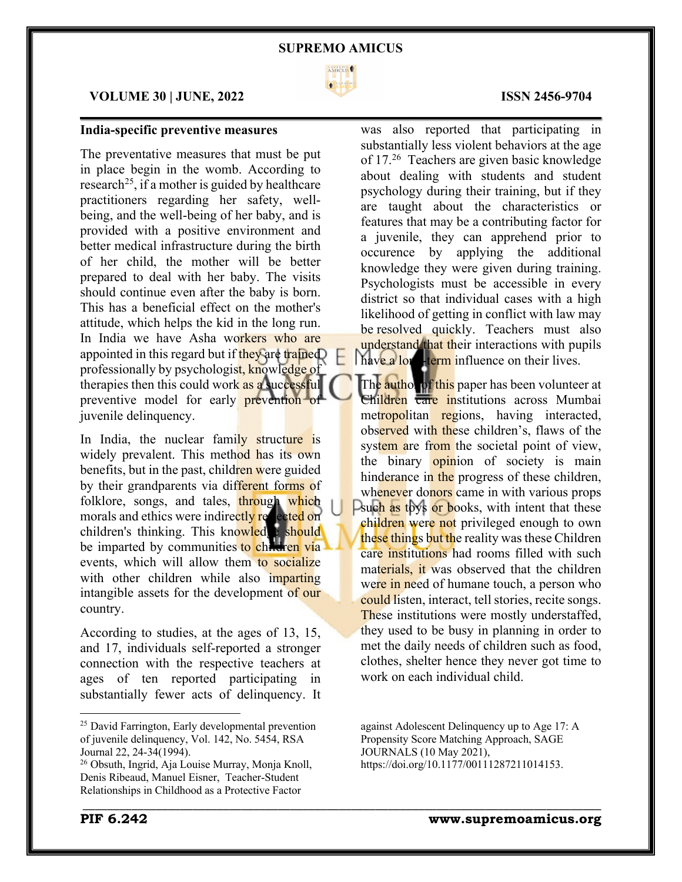

 $\mathcal{L}_\mathcal{L} = \mathcal{L}_\mathcal{L} = \mathcal{L}_\mathcal{L} = \mathcal{L}_\mathcal{L} = \mathcal{L}_\mathcal{L} = \mathcal{L}_\mathcal{L} = \mathcal{L}_\mathcal{L} = \mathcal{L}_\mathcal{L} = \mathcal{L}_\mathcal{L} = \mathcal{L}_\mathcal{L} = \mathcal{L}_\mathcal{L} = \mathcal{L}_\mathcal{L} = \mathcal{L}_\mathcal{L} = \mathcal{L}_\mathcal{L} = \mathcal{L}_\mathcal{L} = \mathcal{L}_\mathcal{L} = \mathcal{L}_\mathcal{L}$ 

# **VOLUME 30 | JUNE, 2022 ISSN 2456-9704**

# **India-specific preventive measures**

The preventative measures that must be put in place begin in the womb. According to research<sup>25</sup>, if a mother is guided by healthcare practitioners regarding her safety, wellbeing, and the well-being of her baby, and is provided with a positive environment and better medical infrastructure during the birth of her child, the mother will be better prepared to deal with her baby. The visits should continue even after the baby is born. This has a beneficial effect on the mother's attitude, which helps the kid in the long run. In India we have Asha workers who are appointed in this regard but if they are trained professionally by psychologist, knowledge of therapies then this could work as a successful preventive model for early prevention of juvenile delinquency.

In India, the nuclear family structure is widely prevalent. This method has its own benefits, but in the past, children were guided by their grandparents via different forms of folklore, songs, and tales, through which morals and ethics were indirectly research on children's thinking. This knowledge should be imparted by communities to children via events, which will allow them to socialize with other children while also *imparting* intangible assets for the development of our country.

According to studies, at the ages of 13, 15, and 17, individuals self-reported a stronger connection with the respective teachers at ages of ten reported participating in substantially fewer acts of delinquency. It

was also reported that participating in substantially less violent behaviors at the age of 17.26 Teachers are given basic knowledge about dealing with students and student psychology during their training, but if they are taught about the characteristics or features that may be a contributing factor for a juvenile, they can apprehend prior to occurence by applying the additional knowledge they were given during training. Psychologists must be accessible in every district so that individual cases with a high likelihood of getting in conflict with law may be resolved quickly. Teachers must also understand that their interactions with pupils have a long-term influence on their lives.

The author of this paper has been volunteer at Children care institutions across Mumbai metropolitan regions, having interacted, observed with these children's, flaws of the system are from the societal point of view, the binary opinion of society is main hinderance in the progress of these children, whenever donors came in with various props **Exuch as toys or books, with intent that these** children were not privileged enough to own these things but the reality was these Children care institutions had rooms filled with such materials, it was observed that the children were in need of humane touch, a person who could listen, interact, tell stories, recite songs. These institutions were mostly understaffed, they used to be busy in planning in order to met the daily needs of children such as food, clothes, shelter hence they never got time to work on each individual child.

against Adolescent Delinquency up to Age 17: A Propensity Score Matching Approach, SAGE JOURNALS (10 May 2021), https://doi.org/10.1177/00111287211014153.

<sup>&</sup>lt;sup>25</sup> David Farrington, Early developmental prevention of juvenile delinquency, Vol. 142, No. 5454, RSA Journal 22, 24-34(1994).

<sup>26</sup> Obsuth, Ingrid, Aja Louise Murray, Monja Knoll, Denis Ribeaud, Manuel Eisner, Teacher-Student Relationships in Childhood as a Protective Factor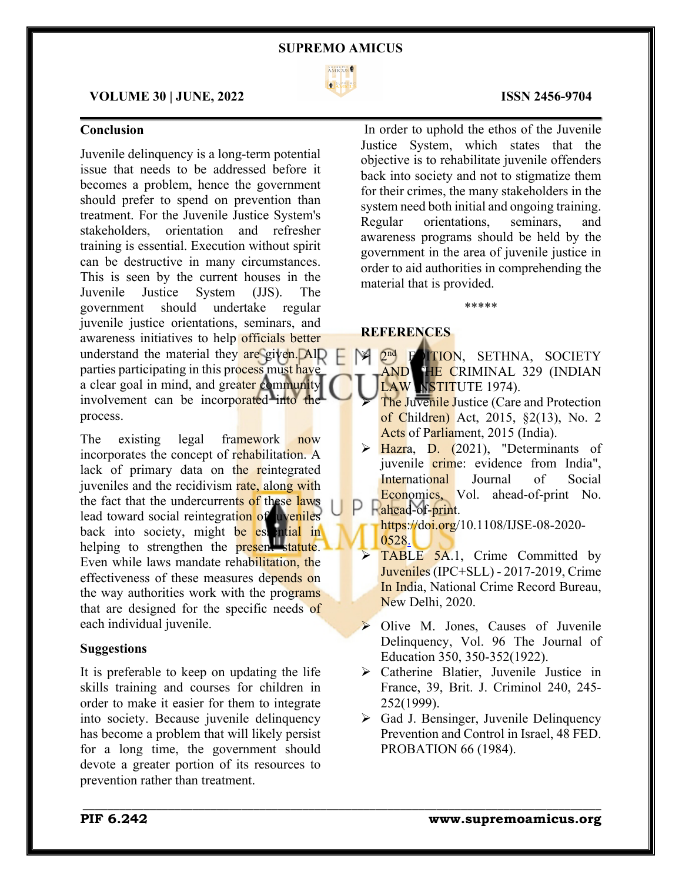

 $\mathcal{L}_\mathcal{L} = \mathcal{L}_\mathcal{L} = \mathcal{L}_\mathcal{L} = \mathcal{L}_\mathcal{L} = \mathcal{L}_\mathcal{L} = \mathcal{L}_\mathcal{L} = \mathcal{L}_\mathcal{L} = \mathcal{L}_\mathcal{L} = \mathcal{L}_\mathcal{L} = \mathcal{L}_\mathcal{L} = \mathcal{L}_\mathcal{L} = \mathcal{L}_\mathcal{L} = \mathcal{L}_\mathcal{L} = \mathcal{L}_\mathcal{L} = \mathcal{L}_\mathcal{L} = \mathcal{L}_\mathcal{L} = \mathcal{L}_\mathcal{L}$ 

\_\_\_\_\_\_\_\_\_\_\_\_\_\_\_\_\_\_\_\_\_\_\_\_\_\_\_\_\_\_\_\_\_\_\_\_\_\_\_\_\_\_\_\_\_\_\_\_\_\_\_\_\_\_\_\_\_\_\_\_\_\_\_\_\_\_\_\_\_\_\_\_\_\_\_\_\_\_\_\_\_\_\_\_\_

#### **VOLUME 30 | JUNE, 2022 ISSN 2456-9704**

# **Conclusion**

Juvenile delinquency is a long-term potential issue that needs to be addressed before it becomes a problem, hence the government should prefer to spend on prevention than treatment. For the Juvenile Justice System's stakeholders, orientation and refresher training is essential. Execution without spirit can be destructive in many circumstances. This is seen by the current houses in the Juvenile Justice System (JJS). The government should undertake regular juvenile justice orientations, seminars, and awareness initiatives to help officials better understand the material they are given. AlD parties participating in this process must have a clear goal in mind, and greater community involvement can be incorporated into the process.

The existing legal framework now incorporates the concept of rehabilitation. A lack of primary data on the reintegrated juveniles and the recidivism rate, along with the fact that the undercurrents of these laws lead toward social reintegration of uveniles back into society, might be essential in helping to strengthen the present statute. Even while laws mandate rehabilitation, the effectiveness of these measures depends on the way authorities work with the programs that are designed for the specific needs of each individual juvenile.

### **Suggestions**

It is preferable to keep on updating the life skills training and courses for children in order to make it easier for them to integrate into society. Because juvenile delinquency has become a problem that will likely persist for a long time, the government should devote a greater portion of its resources to prevention rather than treatment.

In order to uphold the ethos of the Juvenile Justice System, which states that the objective is to rehabilitate juvenile offenders back into society and not to stigmatize them for their crimes, the many stakeholders in the system need both initial and ongoing training. Regular orientations, seminars, and awareness programs should be held by the government in the area of juvenile justice in order to aid authorities in comprehending the material that is provided.

\*\*\*\*\*

### **REFERENCES**

2<sup>nd</sup> FOITION, SETHNA, SOCIETY AND THE CRIMINAL 329 (INDIAN LAW INSTITUTE 1974).

- The Juvenile Justice (Care and Protection of Children) Act, 2015, §2(13), No. 2 Acts of Parliament, 2015 (India).
- $\triangleright$  Hazra, D. (2021), "Determinants of juvenile crime: evidence from India", International Journal of Social Economics, Vol. ahead-of-print No. ahead-of-print.

https://doi.org/10.1108/IJSE-08-2020-0528.

- TABLE 5A.1, Crime Committed by Juveniles (IPC+SLL) - 2017-2019, Crime In India, National Crime Record Bureau, New Delhi, 2020.
- $\triangleright$  Olive M. Jones, Causes of Juvenile Delinquency, Vol. 96 The Journal of Education 350, 350-352(1922).
- Ø Catherine Blatier, Juvenile Justice in France, 39, Brit. J. Criminol 240, 245- 252(1999).
- $\triangleright$  Gad J. Bensinger, Juvenile Delinquency Prevention and Control in Israel, 48 FED. PROBATION 66 (1984).